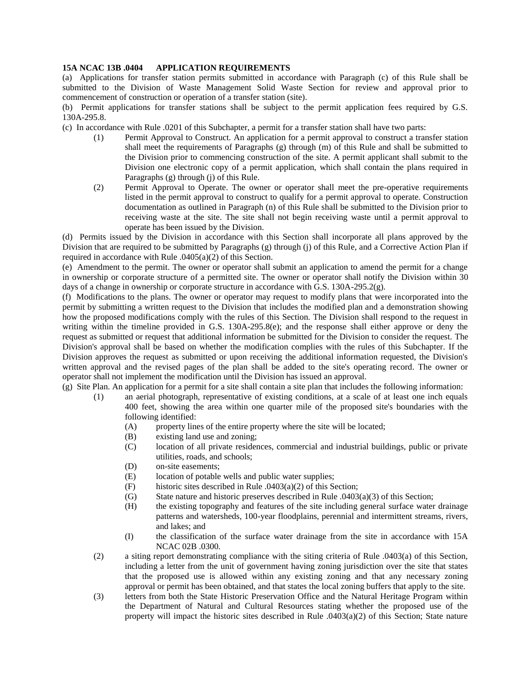## **15A NCAC 13B .0404 APPLICATION REQUIREMENTS**

(a) Applications for transfer station permits submitted in accordance with Paragraph (c) of this Rule shall be submitted to the Division of Waste Management Solid Waste Section for review and approval prior to commencement of construction or operation of a transfer station (site).

(b) Permit applications for transfer stations shall be subject to the permit application fees required by G.S. 130A-295.8.

(c) In accordance with Rule .0201 of this Subchapter, a permit for a transfer station shall have two parts:

- (1) Permit Approval to Construct. An application for a permit approval to construct a transfer station shall meet the requirements of Paragraphs (g) through (m) of this Rule and shall be submitted to the Division prior to commencing construction of the site. A permit applicant shall submit to the Division one electronic copy of a permit application, which shall contain the plans required in Paragraphs (g) through (j) of this Rule.
- (2) Permit Approval to Operate. The owner or operator shall meet the pre-operative requirements listed in the permit approval to construct to qualify for a permit approval to operate. Construction documentation as outlined in Paragraph (n) of this Rule shall be submitted to the Division prior to receiving waste at the site. The site shall not begin receiving waste until a permit approval to operate has been issued by the Division.

(d) Permits issued by the Division in accordance with this Section shall incorporate all plans approved by the Division that are required to be submitted by Paragraphs (g) through (j) of this Rule, and a Corrective Action Plan if required in accordance with Rule .0405(a)(2) of this Section.

(e) Amendment to the permit. The owner or operator shall submit an application to amend the permit for a change in ownership or corporate structure of a permitted site. The owner or operator shall notify the Division within 30 days of a change in ownership or corporate structure in accordance with G.S. 130A-295.2(g).

(f) Modifications to the plans. The owner or operator may request to modify plans that were incorporated into the permit by submitting a written request to the Division that includes the modified plan and a demonstration showing how the proposed modifications comply with the rules of this Section. The Division shall respond to the request in writing within the timeline provided in G.S. 130A-295.8(e); and the response shall either approve or deny the request as submitted or request that additional information be submitted for the Division to consider the request. The Division's approval shall be based on whether the modification complies with the rules of this Subchapter. If the Division approves the request as submitted or upon receiving the additional information requested, the Division's written approval and the revised pages of the plan shall be added to the site's operating record. The owner or operator shall not implement the modification until the Division has issued an approval.

(g) Site Plan. An application for a permit for a site shall contain a site plan that includes the following information:

- (1) an aerial photograph, representative of existing conditions, at a scale of at least one inch equals 400 feet, showing the area within one quarter mile of the proposed site's boundaries with the following identified:
	- (A) property lines of the entire property where the site will be located;
	- (B) existing land use and zoning;
	- (C) location of all private residences, commercial and industrial buildings, public or private utilities, roads, and schools;
	- (D) on-site easements;
	- (E) location of potable wells and public water supplies;
	- (F) historic sites described in Rule  $.0403(a)(2)$  of this Section;
	- $(G)$  State nature and historic preserves described in Rule .0403(a)(3) of this Section;
	- (H) the existing topography and features of the site including general surface water drainage patterns and watersheds, 100-year floodplains, perennial and intermittent streams, rivers, and lakes; and
	- (I) the classification of the surface water drainage from the site in accordance with 15A NCAC 02B .0300.
- (2) a siting report demonstrating compliance with the siting criteria of Rule .0403(a) of this Section, including a letter from the unit of government having zoning jurisdiction over the site that states that the proposed use is allowed within any existing zoning and that any necessary zoning approval or permit has been obtained, and that states the local zoning buffers that apply to the site.
- (3) letters from both the State Historic Preservation Office and the Natural Heritage Program within the Department of Natural and Cultural Resources stating whether the proposed use of the property will impact the historic sites described in Rule .0403(a)(2) of this Section; State nature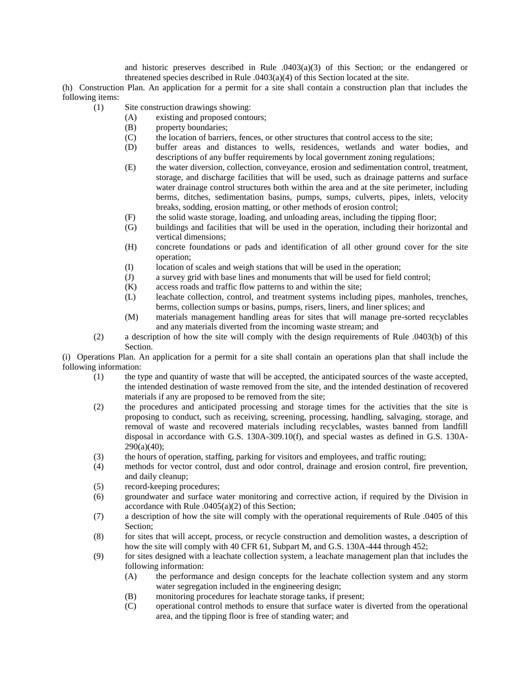and historic preserves described in Rule  $.0403(a)(3)$  of this Section; or the endangered or threatened species described in Rule  $.0403(a)(4)$  of this Section located at the site.

(h) Construction Plan. An application for a permit for a site shall contain a construction plan that includes the following items:

- (1) Site construction drawings showing:
	- (A) existing and proposed contours;
	- (B) property boundaries;
	- (C) the location of barriers, fences, or other structures that control access to the site;
	- (D) buffer areas and distances to wells, residences, wetlands and water bodies, and descriptions of any buffer requirements by local government zoning regulations;
	- (E) the water diversion, collection, conveyance, erosion and sedimentation control, treatment, storage, and discharge facilities that will be used, such as drainage patterns and surface water drainage control structures both within the area and at the site perimeter, including berms, ditches, sedimentation basins, pumps, sumps, culverts, pipes, inlets, velocity breaks, sodding, erosion matting, or other methods of erosion control;
	- (F) the solid waste storage, loading, and unloading areas, including the tipping floor;
	- (G) buildings and facilities that will be used in the operation, including their horizontal and vertical dimensions;
	- (H) concrete foundations or pads and identification of all other ground cover for the site operation;
	- (I) location of scales and weigh stations that will be used in the operation;
	- (J) a survey grid with base lines and monuments that will be used for field control;
	- (K) access roads and traffic flow patterns to and within the site;
	- (L) leachate collection, control, and treatment systems including pipes, manholes, trenches, berms, collection sumps or basins, pumps, risers, liners, and liner splices; and
	- (M) materials management handling areas for sites that will manage pre-sorted recyclables and any materials diverted from the incoming waste stream; and
- (2) a description of how the site will comply with the design requirements of Rule .0403(b) of this Section.

(i) Operations Plan. An application for a permit for a site shall contain an operations plan that shall include the following information:

- (1) the type and quantity of waste that will be accepted, the anticipated sources of the waste accepted, the intended destination of waste removed from the site, and the intended destination of recovered materials if any are proposed to be removed from the site;
- (2) the procedures and anticipated processing and storage times for the activities that the site is proposing to conduct, such as receiving, screening, processing, handling, salvaging, storage, and removal of waste and recovered materials including recyclables, wastes banned from landfill disposal in accordance with G.S. 130A-309.10(f), and special wastes as defined in G.S. 130A-290(a)(40);
- (3) the hours of operation, staffing, parking for visitors and employees, and traffic routing;
- (4) methods for vector control, dust and odor control, drainage and erosion control, fire prevention, and daily cleanup;
- (5) record-keeping procedures;
- (6) groundwater and surface water monitoring and corrective action, if required by the Division in accordance with Rule  $.0405(a)(2)$  of this Section;
- (7) a description of how the site will comply with the operational requirements of Rule .0405 of this Section;
- (8) for sites that will accept, process, or recycle construction and demolition wastes, a description of how the site will comply with 40 CFR 61, Subpart M, and G.S. 130A-444 through 452;
- (9) for sites designed with a leachate collection system, a leachate management plan that includes the following information:
	- (A) the performance and design concepts for the leachate collection system and any storm water segregation included in the engineering design;
	- (B) monitoring procedures for leachate storage tanks, if present;
	- (C) operational control methods to ensure that surface water is diverted from the operational area, and the tipping floor is free of standing water; and